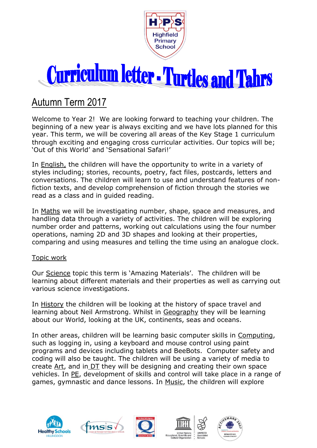

## **Curriculum letter - Turtles and Tahrs**

## Autumn Term 2017

Welcome to Year 2! We are looking forward to teaching your children. The beginning of a new year is always exciting and we have lots planned for this year. This term, we will be covering all areas of the Key Stage 1 curriculum through exciting and engaging cross curricular activities. Our topics will be; 'Out of this World' and 'Sensational Safari!'

In English, the children will have the opportunity to write in a variety of styles including; stories, recounts, poetry, fact files, postcards, letters and conversations. The children will learn to use and understand features of nonfiction texts, and develop comprehension of fiction through the stories we read as a class and in guided reading.

In Maths we will be investigating number, shape, space and measures, and handling data through a variety of activities. The children will be exploring number order and patterns, working out calculations using the four number operations, naming 2D and 3D shapes and looking at their properties, comparing and using measures and telling the time using an analogue clock.

## Topic work

Our Science topic this term is 'Amazing Materials'. The children will be learning about different materials and their properties as well as carrying out various science investigations.

In History the children will be looking at the history of space travel and learning about Neil Armstrong. Whilst in Geography they will be learning about our World, looking at the UK, continents, seas and oceans.

In other areas, children will be learning basic computer skills in Computing, such as logging in, using a keyboard and mouse control using paint programs and devices including tablets and BeeBots. Computer safety and coding will also be taught. The children will be using a variety of media to create Art, and in DT they will be designing and creating their own space vehicles. In PE, development of skills and control will take place in a range of games, gymnastic and dance lessons. In Music, the children will explore